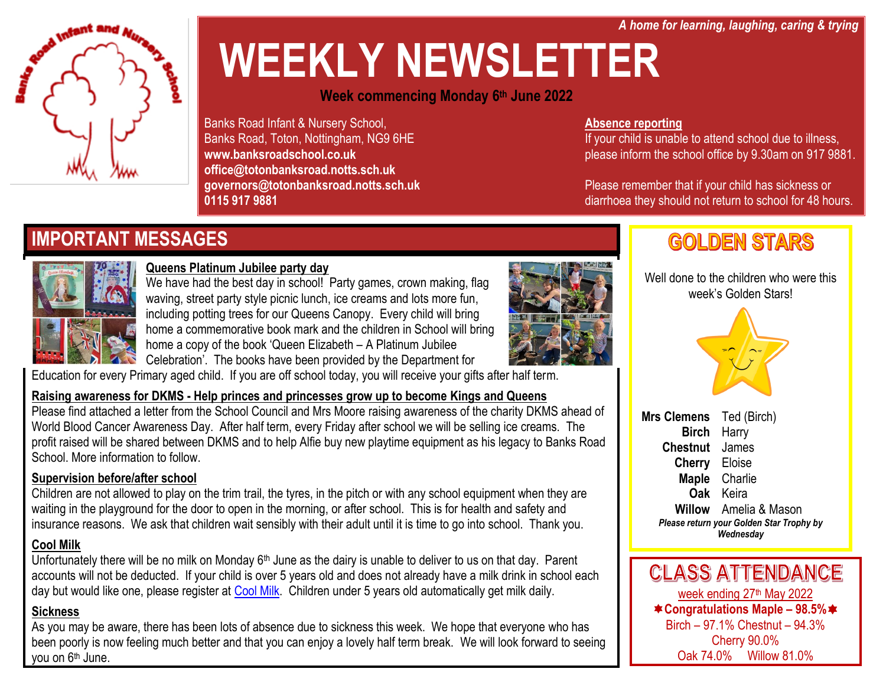*A home for learning, laughing, caring & trying*

# **WEEKLY NEWSLETTER**

#### **Week commencing Monday 6 th June 2022**

Banks Road Infant & Nursery School, Banks Road, Toton, Nottingham, NG9 6HE **www.banksroadschool.co.uk office@totonbanksroad.notts.sch.uk governors@totonbanksroad.notts.sch.uk 0115 917 9881**

#### **Absence reporting**

If your child is unable to attend school due to illness, please inform the school office by 9.30am on 917 9881.

Please remember that if your child has sickness or diarrhoea they should not return to school for 48 hours.

### **IMPORTANT MESSAGES**



**Infant** and

#### **Queens Platinum Jubilee party day**

We have had the best day in school! Party games, crown making, flag waving, street party style picnic lunch, ice creams and lots more fun, including potting trees for our Queens Canopy. Every child will bring home a commemorative book mark and the children in School will bring home a copy of the book 'Queen Elizabeth – A Platinum Jubilee



Celebration'. The books have been provided by the Department for

Education for every Primary aged child. If you are off school today, you will receive your gifts after half term.

#### **Raising awareness for DKMS - Help princes and princesses grow up to become Kings and Queens**

Please find attached a letter from the School Council and Mrs Moore raising awareness of the charity DKMS ahead of World Blood Cancer Awareness Day. After half term, every Friday after school we will be selling ice creams. The profit raised will be shared between DKMS and to help Alfie buy new playtime equipment as his legacy to Banks Road School. More information to follow.

#### **Supervision before/after school**

Children are not allowed to play on the trim trail, the tyres, in the pitch or with any school equipment when they are waiting in the playground for the door to open in the morning, or after school. This is for health and safety and insurance reasons. We ask that children wait sensibly with their adult until it is time to go into school. Thank you.

#### **Cool Milk**

Unfortunately there will be no milk on Monday 6<sup>th</sup> June as the dairy is unable to deliver to us on that day. Parent accounts will not be deducted. If your child is over 5 years old and does not already have a milk drink in school each day but would like one, please register at [Cool Milk.](https://www.coolmilk.com/) Children under 5 years old automatically get milk daily.

#### **Sickness**

As you may be aware, there has been lots of absence due to sickness this week. We hope that everyone who has been poorly is now feeling much better and that you can enjoy a lovely half term break. We will look forward to seeing you on 6<sup>th</sup> June.

## **GOLDEN STARS**

Well done to the children who were this week's Golden Stars!



**Mrs Clemens** Ted (Birch) **Birch** Harry **Chestnut** James **Cherry** Eloise **Maple** Charlie **Oak** Keira **Willow** Amelia & Mason *Please return your Golden Star Trophy by Wednesday*